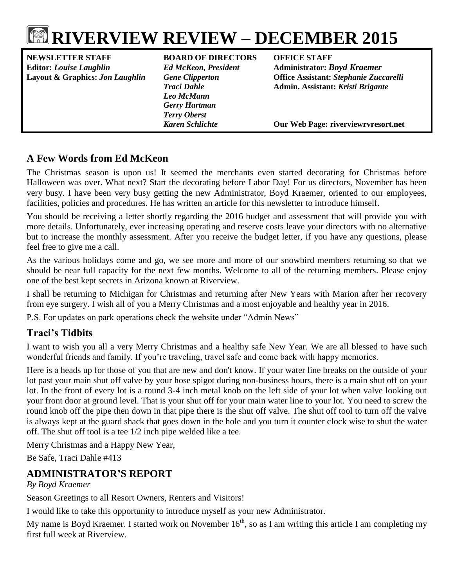# **RIVERVIEW REVIEW – DECEMBER 2015**

**NEWSLETTER STAFF BOARD OF DIRECTORS OFFICE STAFF Editor:** *Louise Laughlin Ed McKeon, President* **Administrator:** *Boyd Kraemer*

*Leo McMann Gerry Hartman Terry Oberst*

**Layout & Graphics:** *Jon Laughlin Gene Clipperton* **Office Assistant:** *Stephanie Zuccarelli Traci Dahle* **Admin. Assistant:** *Kristi Brigante*

*Karen Schlichte* **Our Web Page: riverviewrvresort.net**

## **A Few Words from Ed McKeon**

The Christmas season is upon us! It seemed the merchants even started decorating for Christmas before Halloween was over. What next? Start the decorating before Labor Day! For us directors, November has been very busy. I have been very busy getting the new Administrator, Boyd Kraemer, oriented to our employees, facilities, policies and procedures. He has written an article for this newsletter to introduce himself.

You should be receiving a letter shortly regarding the 2016 budget and assessment that will provide you with more details. Unfortunately, ever increasing operating and reserve costs leave your directors with no alternative but to increase the monthly assessment. After you receive the budget letter, if you have any questions, please feel free to give me a call.

As the various holidays come and go, we see more and more of our snowbird members returning so that we should be near full capacity for the next few months. Welcome to all of the returning members. Please enjoy one of the best kept secrets in Arizona known at Riverview.

I shall be returning to Michigan for Christmas and returning after New Years with Marion after her recovery from eye surgery. I wish all of you a Merry Christmas and a most enjoyable and healthy year in 2016.

P.S. For updates on park operations check the website under "Admin News"

## **Traci's Tidbits**

I want to wish you all a very Merry Christmas and a healthy safe New Year. We are all blessed to have such wonderful friends and family. If you're traveling, travel safe and come back with happy memories.

Here is a heads up for those of you that are new and don't know. If your water line breaks on the outside of your lot past your main shut off valve by your hose spigot during non-business hours, there is a main shut off on your lot. In the front of every lot is a round 3-4 inch metal knob on the left side of your lot when valve looking out your front door at ground level. That is your shut off for your main water line to your lot. You need to screw the round knob off the pipe then down in that pipe there is the shut off valve. The shut off tool to turn off the valve is always kept at the guard shack that goes down in the hole and you turn it counter clock wise to shut the water off. The shut off tool is a tee 1/2 inch pipe welded like a tee.

Merry Christmas and a Happy New Year,

Be Safe, Traci Dahle #413

## **ADMINISTRATOR'S REPORT**

#### *By Boyd Kraemer*

Season Greetings to all Resort Owners, Renters and Visitors!

I would like to take this opportunity to introduce myself as your new Administrator.

My name is Boyd Kraemer. I started work on November  $16<sup>th</sup>$ , so as I am writing this article I am completing my first full week at Riverview.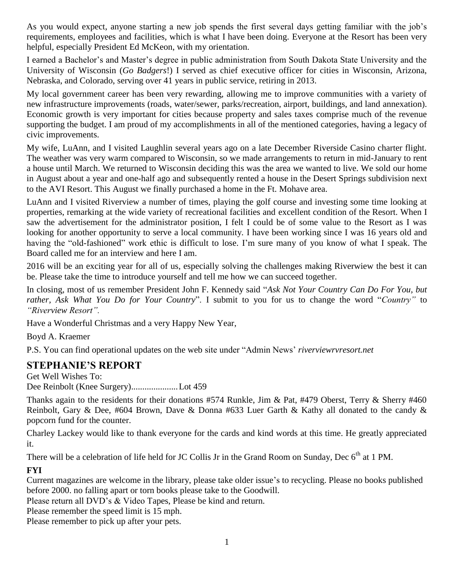As you would expect, anyone starting a new job spends the first several days getting familiar with the job's requirements, employees and facilities, which is what I have been doing. Everyone at the Resort has been very helpful, especially President Ed McKeon, with my orientation.

I earned a Bachelor's and Master's degree in public administration from South Dakota State University and the University of Wisconsin (*Go Badgers*!) I served as chief executive officer for cities in Wisconsin, Arizona, Nebraska, and Colorado, serving over 41 years in public service, retiring in 2013.

My local government career has been very rewarding, allowing me to improve communities with a variety of new infrastructure improvements (roads, water/sewer, parks/recreation, airport, buildings, and land annexation). Economic growth is very important for cities because property and sales taxes comprise much of the revenue supporting the budget. I am proud of my accomplishments in all of the mentioned categories, having a legacy of civic improvements.

My wife, LuAnn, and I visited Laughlin several years ago on a late December Riverside Casino charter flight. The weather was very warm compared to Wisconsin, so we made arrangements to return in mid-January to rent a house until March. We returned to Wisconsin deciding this was the area we wanted to live. We sold our home in August about a year and one-half ago and subsequently rented a house in the Desert Springs subdivision next to the AVI Resort. This August we finally purchased a home in the Ft. Mohave area.

LuAnn and I visited Riverview a number of times, playing the golf course and investing some time looking at properties, remarking at the wide variety of recreational facilities and excellent condition of the Resort. When I saw the advertisement for the administrator position, I felt I could be of some value to the Resort as I was looking for another opportunity to serve a local community. I have been working since I was 16 years old and having the "old-fashioned" work ethic is difficult to lose. I'm sure many of you know of what I speak. The Board called me for an interview and here I am.

2016 will be an exciting year for all of us, especially solving the challenges making Riverwiew the best it can be. Please take the time to introduce yourself and tell me how we can succeed together.

In closing, most of us remember President John F. Kennedy said "*Ask Not Your Country Can Do For You, but rather, Ask What You Do for Your Country*". I submit to you for us to change the word "*Country"* to *"Riverview Resort".*

Have a Wonderful Christmas and a very Happy New Year,

Boyd A. Kraemer

P.S. You can find operational updates on the web site under "Admin News' *riverviewrvresort.net*

#### **STEPHANIE'S REPORT**

Get Well Wishes To: Dee Reinbolt (Knee Surgery).....................Lot 459

Thanks again to the residents for their donations #574 Runkle, Jim & Pat, #479 Oberst, Terry & Sherry #460 Reinbolt, Gary & Dee, #604 Brown, Dave & Donna #633 Luer Garth & Kathy all donated to the candy & popcorn fund for the counter.

Charley Lackey would like to thank everyone for the cards and kind words at this time. He greatly appreciated it.

There will be a celebration of life held for JC Collis Jr in the Grand Room on Sunday, Dec 6<sup>th</sup> at 1 PM.

#### **FYI**

Current magazines are welcome in the library, please take older issue's to recycling. Please no books published before 2000. no falling apart or torn books please take to the Goodwill.

Please return all DVD's & Video Tapes, Please be kind and return.

Please remember the speed limit is 15 mph.

Please remember to pick up after your pets.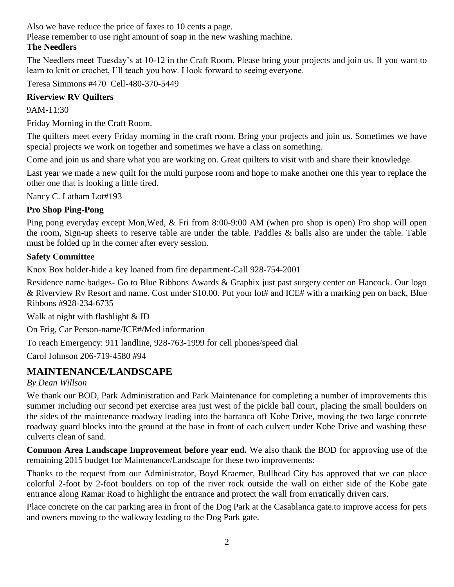Also we have reduce the price of faxes to 10 cents a page.

Please remember to use right amount of soap in the new washing machine.

#### **The Needlers**

The Needlers meet Tuesday's at 10-12 in the Craft Room. Please bring your projects and join us. If you want to learn to knit or crochet, I'll teach you how. I look forward to seeing everyone.

Teresa Simmons #470 Cell-480-370-5449

#### **Riverview RV Quilters**

9AM-11:30

Friday Morning in the Craft Room.

The quilters meet every Friday morning in the craft room. Bring your projects and join us. Sometimes we have special projects we work on together and sometimes we have a class on something.

Come and join us and share what you are working on. Great quilters to visit with and share their knowledge.

Last year we made a new quilt for the multi purpose room and hope to make another one this year to replace the other one that is looking a little tired.

Nancy C. Latham Lot#193

### **Pro Shop Ping-Pong**

Ping pong everyday except Mon,Wed, & Fri from 8:00-9:00 AM (when pro shop is open) Pro shop will open the room, Sign-up sheets to reserve table are under the table. Paddles & balls also are under the table. Table must be folded up in the corner after every session.

#### **Safety Committee**

Knox Box holder-hide a key loaned from fire department-Call 928-754-2001

Residence name badges- Go to Blue Ribbons Awards & Graphix just past surgery center on Hancock. Our logo & Riverview Rv Resort and name. Cost under \$10.00. Put your lot# and ICE# with a marking pen on back, Blue Ribbons #928-234-6735

Walk at night with flashlight & ID

On Frig, Car Person-name/ICE#/Med information

To reach Emergency: 911 landline, 928-763-1999 for cell phones/speed dial

Carol Johnson 206-719-4580 #94

## **MAINTENANCE/LANDSCAPE**

#### *By Dean Willson*

We thank our BOD, Park Administration and Park Maintenance for completing a number of improvements this summer including our second pet exercise area just west of the pickle ball court, placing the small boulders on the sides of the maintenance roadway leading into the barranca off Kobe Drive, moving the two large concrete roadway guard blocks into the ground at the base in front of each culvert under Kobe Drive and washing these culverts clean of sand.

**Common Area Landscape Improvement before year end.** We also thank the BOD for approving use of the remaining 2015 budget for Maintenance/Landscape for these two improvements:

Thanks to the request from our Administrator, Boyd Kraemer, Bullhead City has approved that we can place colorful 2-foot by 2-foot boulders on top of the river rock outside the wall on either side of the Kobe gate entrance along Ramar Road to highlight the entrance and protect the wall from erratically driven cars.

Place concrete on the car parking area in front of the Dog Park at the Casablanca gate.to improve access for pets and owners moving to the walkway leading to the Dog Park gate.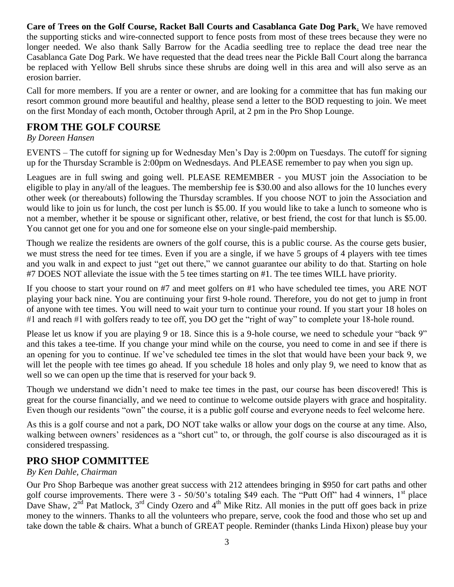**Care of Trees on the Golf Course, Racket Ball Courts and Casablanca Gate Dog Park**. We have removed the supporting sticks and wire-connected support to fence posts from most of these trees because they were no longer needed. We also thank Sally Barrow for the Acadia seedling tree to replace the dead tree near the Casablanca Gate Dog Park. We have requested that the dead trees near the Pickle Ball Court along the barranca be replaced with Yellow Bell shrubs since these shrubs are doing well in this area and will also serve as an erosion barrier.

Call for more members. If you are a renter or owner, and are looking for a committee that has fun making our resort common ground more beautiful and healthy, please send a letter to the BOD requesting to join. We meet on the first Monday of each month, October through April, at 2 pm in the Pro Shop Lounge.

## **FROM THE GOLF COURSE**

#### *By Doreen Hansen*

EVENTS – The cutoff for signing up for Wednesday Men's Day is 2:00pm on Tuesdays. The cutoff for signing up for the Thursday Scramble is 2:00pm on Wednesdays. And PLEASE remember to pay when you sign up.

Leagues are in full swing and going well. PLEASE REMEMBER - you MUST join the Association to be eligible to play in any/all of the leagues. The membership fee is \$30.00 and also allows for the 10 lunches every other week (or thereabouts) following the Thursday scrambles. If you choose NOT to join the Association and would like to join us for lunch, the cost per lunch is \$5.00. If you would like to take a lunch to someone who is not a member, whether it be spouse or significant other, relative, or best friend, the cost for that lunch is \$5.00. You cannot get one for you and one for someone else on your single-paid membership.

Though we realize the residents are owners of the golf course, this is a public course. As the course gets busier, we must stress the need for tee times. Even if you are a single, if we have 5 groups of 4 players with tee times and you walk in and expect to just "get out there," we cannot guarantee our ability to do that. Starting on hole #7 DOES NOT alleviate the issue with the 5 tee times starting on #1. The tee times WILL have priority.

If you choose to start your round on #7 and meet golfers on #1 who have scheduled tee times, you ARE NOT playing your back nine. You are continuing your first 9-hole round. Therefore, you do not get to jump in front of anyone with tee times. You will need to wait your turn to continue your round. If you start your 18 holes on #1 and reach #1 with golfers ready to tee off, you DO get the "right of way" to complete your 18-hole round.

Please let us know if you are playing 9 or 18. Since this is a 9-hole course, we need to schedule your "back 9" and this takes a tee-time. If you change your mind while on the course, you need to come in and see if there is an opening for you to continue. If we've scheduled tee times in the slot that would have been your back 9, we will let the people with tee times go ahead. If you schedule 18 holes and only play 9, we need to know that as well so we can open up the time that is reserved for your back 9.

Though we understand we didn't need to make tee times in the past, our course has been discovered! This is great for the course financially, and we need to continue to welcome outside players with grace and hospitality. Even though our residents "own" the course, it is a public golf course and everyone needs to feel welcome here.

As this is a golf course and not a park, DO NOT take walks or allow your dogs on the course at any time. Also, walking between owners' residences as a "short cut" to, or through, the golf course is also discouraged as it is considered trespassing.

### **PRO SHOP COMMITTEE**

#### *By Ken Dahle, Chairman*

Our Pro Shop Barbeque was another great success with 212 attendees bringing in \$950 for cart paths and other golf course improvements. There were 3 - 50/50's totaling \$49 each. The "Putt Off" had 4 winners, 1<sup>st</sup> place Dave Shaw,  $2^{nd}$  Pat Matlock,  $3^{rd}$  Cindy Ozero and  $4^{th}$  Mike Ritz. All monies in the putt off goes back in prize money to the winners. Thanks to all the volunteers who prepare, serve, cook the food and those who set up and take down the table & chairs. What a bunch of GREAT people. Reminder (thanks Linda Hixon) please buy your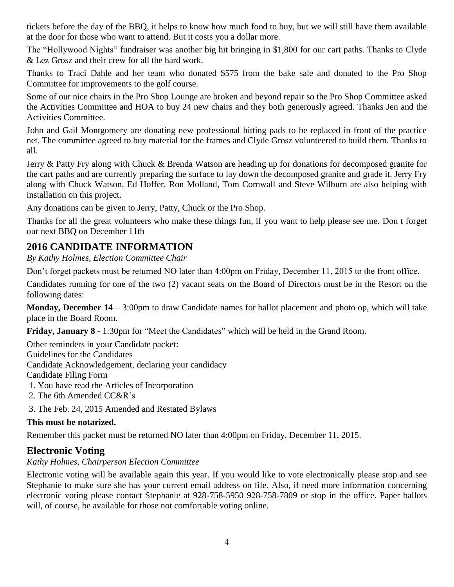tickets before the day of the BBQ, it helps to know how much food to buy, but we will still have them available at the door for those who want to attend. But it costs you a dollar more.

The "Hollywood Nights" fundraiser was another big hit bringing in \$1,800 for our cart paths. Thanks to Clyde & Lez Grosz and their crew for all the hard work.

Thanks to Traci Dahle and her team who donated \$575 from the bake sale and donated to the Pro Shop Committee for improvements to the golf course.

Some of our nice chairs in the Pro Shop Lounge are broken and beyond repair so the Pro Shop Committee asked the Activities Committee and HOA to buy 24 new chairs and they both generously agreed. Thanks Jen and the Activities Committee.

John and Gail Montgomery are donating new professional hitting pads to be replaced in front of the practice net. The committee agreed to buy material for the frames and Clyde Grosz volunteered to build them. Thanks to all.

Jerry & Patty Fry along with Chuck & Brenda Watson are heading up for donations for decomposed granite for the cart paths and are currently preparing the surface to lay down the decomposed granite and grade it. Jerry Fry along with Chuck Watson, Ed Hoffer, Ron Molland, Tom Cornwall and Steve Wilburn are also helping with installation on this project.

Any donations can be given to Jerry, Patty, Chuck or the Pro Shop.

Thanks for all the great volunteers who make these things fun, if you want to help please see me. Don t forget our next BBQ on December 11th

## **2016 CANDIDATE INFORMATION**

*By Kathy Holmes, Election Committee Chair*

Don't forget packets must be returned NO later than 4:00pm on Friday, December 11, 2015 to the front office.

Candidates running for one of the two (2) vacant seats on the Board of Directors must be in the Resort on the following dates:

**Monday, December 14** – 3:00pm to draw Candidate names for ballot placement and photo op, which will take place in the Board Room.

**Friday, January 8** - 1:30pm for "Meet the Candidates" which will be held in the Grand Room.

Other reminders in your Candidate packet: Guidelines for the Candidates Candidate Acknowledgement, declaring your candidacy Candidate Filing Form 1. You have read the Articles of Incorporation

- 2. The 6th Amended CC&R's
- 3. The Feb. 24, 2015 Amended and Restated Bylaws

#### **This must be notarized.**

Remember this packet must be returned NO later than 4:00pm on Friday, December 11, 2015.

### **Electronic Voting**

#### *Kathy Holmes, Chairperson Election Committee*

Electronic voting will be available again this year. If you would like to vote electronically please stop and see Stephanie to make sure she has your current email address on file. Also, if need more information concerning electronic voting please contact Stephanie at 928-758-5950 928-758-7809 or stop in the office. Paper ballots will, of course, be available for those not comfortable voting online.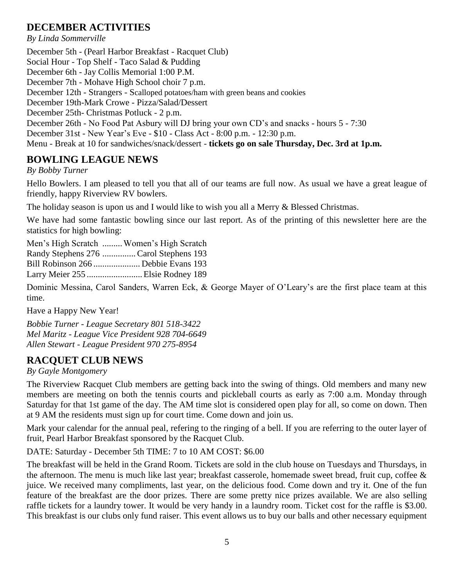## **DECEMBER ACTIVITIES**

*By Linda Sommerville* December 5th - (Pearl Harbor Breakfast - Racquet Club) Social Hour - Top Shelf - Taco Salad & Pudding December 6th - Jay Collis Memorial 1:00 P.M. December 7th - Mohave High School choir 7 p.m. December 12th - Strangers - Scalloped potatoes/ham with green beans and cookies December 19th-Mark Crowe - Pizza/Salad/Dessert December 25th- Christmas Potluck - 2 p.m. December 26th - No Food Pat Asbury will DJ bring your own CD's and snacks - hours 5 - 7:30 December 31st - New Year's Eve - \$10 - Class Act - 8:00 p.m. - 12:30 p.m. Menu - Break at 10 for sandwiches/snack/dessert - **tickets go on sale Thursday, Dec. 3rd at 1p.m.**

## **BOWLING LEAGUE NEWS**

#### *By Bobby Turner*

Hello Bowlers. I am pleased to tell you that all of our teams are full now. As usual we have a great league of friendly, happy Riverview RV bowlers.

The holiday season is upon us and I would like to wish you all a Merry & Blessed Christmas.

We have had some fantastic bowling since our last report. As of the printing of this newsletter here are the statistics for high bowling:

Men's High Scratch .........Women's High Scratch Randy Stephens 276 ............... Carol Stephens 193 Bill Robinson 266 ..................... Debbie Evans 193 Larry Meier 255 .........................Elsie Rodney 189

Dominic Messina, Carol Sanders, Warren Eck, & George Mayer of O'Leary's are the first place team at this time.

Have a Happy New Year!

*Bobbie Turner - League Secretary 801 518-3422 Mel Maritz - League Vice President 928 704-6649 Allen Stewart - League President 970 275-8954*

## **RACQUET CLUB NEWS**

#### *By Gayle Montgomery*

The Riverview Racquet Club members are getting back into the swing of things. Old members and many new members are meeting on both the tennis courts and pickleball courts as early as 7:00 a.m. Monday through Saturday for that 1st game of the day. The AM time slot is considered open play for all, so come on down. Then at 9 AM the residents must sign up for court time. Come down and join us.

Mark your calendar for the annual peal, refering to the ringing of a bell. If you are referring to the outer layer of fruit, Pearl Harbor Breakfast sponsored by the Racquet Club.

#### DATE: Saturday - December 5th TIME: 7 to 10 AM COST: \$6.00

The breakfast will be held in the Grand Room. Tickets are sold in the club house on Tuesdays and Thursdays, in the afternoon. The menu is much like last year; breakfast casserole, homemade sweet bread, fruit cup, coffee & juice. We received many compliments, last year, on the delicious food. Come down and try it. One of the fun feature of the breakfast are the door prizes. There are some pretty nice prizes available. We are also selling raffle tickets for a laundry tower. It would be very handy in a laundry room. Ticket cost for the raffle is \$3.00. This breakfast is our clubs only fund raiser. This event allows us to buy our balls and other necessary equipment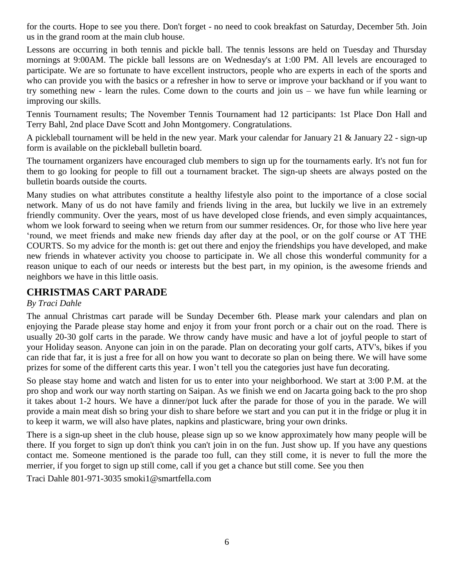for the courts. Hope to see you there. Don't forget - no need to cook breakfast on Saturday, December 5th. Join us in the grand room at the main club house.

Lessons are occurring in both tennis and pickle ball. The tennis lessons are held on Tuesday and Thursday mornings at 9:00AM. The pickle ball lessons are on Wednesday's at 1:00 PM. All levels are encouraged to participate. We are so fortunate to have excellent instructors, people who are experts in each of the sports and who can provide you with the basics or a refresher in how to serve or improve your backhand or if you want to try something new - learn the rules. Come down to the courts and join us – we have fun while learning or improving our skills.

Tennis Tournament results; The November Tennis Tournament had 12 participants: 1st Place Don Hall and Terry Bahl, 2nd place Dave Scott and John Montgomery. Congratulations.

A pickleball tournament will be held in the new year. Mark your calendar for January 21 & January 22 - sign-up form is available on the pickleball bulletin board.

The tournament organizers have encouraged club members to sign up for the tournaments early. It's not fun for them to go looking for people to fill out a tournament bracket. The sign-up sheets are always posted on the bulletin boards outside the courts.

Many studies on what attributes constitute a healthy lifestyle also point to the importance of a close social network. Many of us do not have family and friends living in the area, but luckily we live in an extremely friendly community. Over the years, most of us have developed close friends, and even simply acquaintances, whom we look forward to seeing when we return from our summer residences. Or, for those who live here year 'round, we meet friends and make new friends day after day at the pool, or on the golf course or AT THE COURTS. So my advice for the month is: get out there and enjoy the friendships you have developed, and make new friends in whatever activity you choose to participate in. We all chose this wonderful community for a reason unique to each of our needs or interests but the best part, in my opinion, is the awesome friends and neighbors we have in this little oasis.

#### **CHRISTMAS CART PARADE**

#### *By Traci Dahle*

The annual Christmas cart parade will be Sunday December 6th. Please mark your calendars and plan on enjoying the Parade please stay home and enjoy it from your front porch or a chair out on the road. There is usually 20-30 golf carts in the parade. We throw candy have music and have a lot of joyful people to start of your Holiday season. Anyone can join in on the parade. Plan on decorating your golf carts, ATV's, bikes if you can ride that far, it is just a free for all on how you want to decorate so plan on being there. We will have some prizes for some of the different carts this year. I won't tell you the categories just have fun decorating.

So please stay home and watch and listen for us to enter into your neighborhood. We start at 3:00 P.M. at the pro shop and work our way north starting on Saipan. As we finish we end on Jacarta going back to the pro shop it takes about 1-2 hours. We have a dinner/pot luck after the parade for those of you in the parade. We will provide a main meat dish so bring your dish to share before we start and you can put it in the fridge or plug it in to keep it warm, we will also have plates, napkins and plasticware, bring your own drinks.

There is a sign-up sheet in the club house, please sign up so we know approximately how many people will be there. If you forget to sign up don't think you can't join in on the fun. Just show up. If you have any questions contact me. Someone mentioned is the parade too full, can they still come, it is never to full the more the merrier, if you forget to sign up still come, call if you get a chance but still come. See you then

Traci Dahle 801-971-3035 smoki1@smartfella.com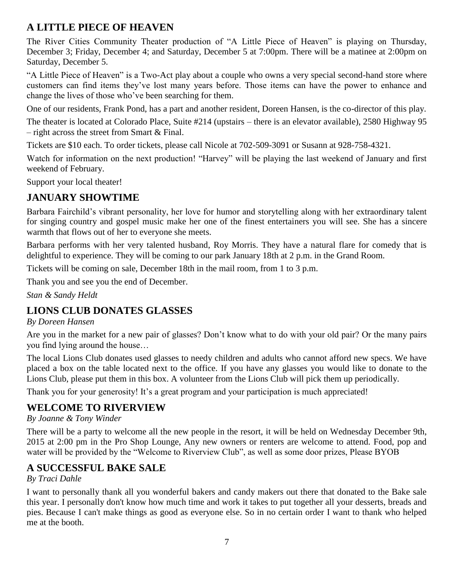## **A LITTLE PIECE OF HEAVEN**

The River Cities Community Theater production of "A Little Piece of Heaven" is playing on Thursday, December 3; Friday, December 4; and Saturday, December 5 at 7:00pm. There will be a matinee at 2:00pm on Saturday, December 5.

"A Little Piece of Heaven" is a Two-Act play about a couple who owns a very special second-hand store where customers can find items they've lost many years before. Those items can have the power to enhance and change the lives of those who've been searching for them.

One of our residents, Frank Pond, has a part and another resident, Doreen Hansen, is the co-director of this play.

The theater is located at Colorado Place, Suite #214 (upstairs – there is an elevator available), 2580 Highway 95 – right across the street from Smart & Final.

Tickets are \$10 each. To order tickets, please call Nicole at 702-509-3091 or Susann at 928-758-4321.

Watch for information on the next production! "Harvey" will be playing the last weekend of January and first weekend of February.

Support your local theater!

## **JANUARY SHOWTIME**

Barbara Fairchild's vibrant personality, her love for humor and storytelling along with her extraordinary talent for singing country and gospel music make her one of the finest entertainers you will see. She has a sincere warmth that flows out of her to everyone she meets.

Barbara performs with her very talented husband, Roy Morris. They have a natural flare for comedy that is delightful to experience. They will be coming to our park January 18th at 2 p.m. in the Grand Room.

Tickets will be coming on sale, December 18th in the mail room, from 1 to 3 p.m.

Thank you and see you the end of December.

*Stan & Sandy Heldt*

## **LIONS CLUB DONATES GLASSES**

#### *By Doreen Hansen*

Are you in the market for a new pair of glasses? Don't know what to do with your old pair? Or the many pairs you find lying around the house…

The local Lions Club donates used glasses to needy children and adults who cannot afford new specs. We have placed a box on the table located next to the office. If you have any glasses you would like to donate to the Lions Club, please put them in this box. A volunteer from the Lions Club will pick them up periodically.

Thank you for your generosity! It's a great program and your participation is much appreciated!

## **WELCOME TO RIVERVIEW**

#### *By Joanne & Tony Winder*

There will be a party to welcome all the new people in the resort, it will be held on Wednesday December 9th, 2015 at 2:00 pm in the Pro Shop Lounge, Any new owners or renters are welcome to attend. Food, pop and water will be provided by the "Welcome to Riverview Club", as well as some door prizes, Please BYOB

## **A SUCCESSFUL BAKE SALE**

#### *By Traci Dahle*

I want to personally thank all you wonderful bakers and candy makers out there that donated to the Bake sale this year. I personally don't know how much time and work it takes to put together all your desserts, breads and pies. Because I can't make things as good as everyone else. So in no certain order I want to thank who helped me at the booth.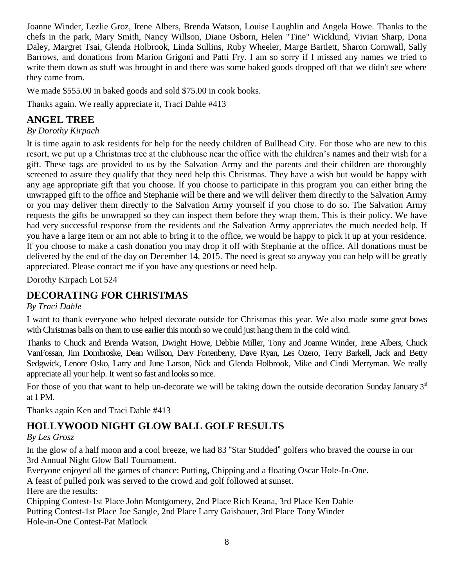Joanne Winder, Lezlie Groz, Irene Albers, Brenda Watson, Louise Laughlin and Angela Howe. Thanks to the chefs in the park, Mary Smith, Nancy Willson, Diane Osborn, Helen "Tine" Wicklund, Vivian Sharp, Dona Daley, Margret Tsai, Glenda Holbrook, Linda Sullins, Ruby Wheeler, Marge Bartlett, Sharon Cornwall, Sally Barrows, and donations from Marion Grigoni and Patti Fry. I am so sorry if I missed any names we tried to write them down as stuff was brought in and there was some baked goods dropped off that we didn't see where they came from.

We made \$555.00 in baked goods and sold \$75.00 in cook books.

Thanks again. We really appreciate it, Traci Dahle #413

## **ANGEL TREE**

*By Dorothy Kirpach*

It is time again to ask residents for help for the needy children of Bullhead City. For those who are new to this resort, we put up a Christmas tree at the clubhouse near the office with the children's names and their wish for a gift. These tags are provided to us by the Salvation Army and the parents and their children are thoroughly screened to assure they qualify that they need help this Christmas. They have a wish but would be happy with any age appropriate gift that you choose. If you choose to participate in this program you can either bring the unwrapped gift to the office and Stephanie will be there and we will deliver them directly to the Salvation Army or you may deliver them directly to the Salvation Army yourself if you chose to do so. The Salvation Army requests the gifts be unwrapped so they can inspect them before they wrap them. This is their policy. We have had very successful response from the residents and the Salvation Army appreciates the much needed help. If you have a large item or am not able to bring it to the office, we would be happy to pick it up at your residence. If you choose to make a cash donation you may drop it off with Stephanie at the office. All donations must be delivered by the end of the day on December 14, 2015. The need is great so anyway you can help will be greatly appreciated. Please contact me if you have any questions or need help.

Dorothy Kirpach Lot 524

## **DECORATING FOR CHRISTMAS**

*By Traci Dahle*

I want to thank everyone who helped decorate outside for Christmas this year. We also made some great bows with Christmas balls on them to use earlier this month so we could just hang them in the cold wind.

Thanks to Chuck and Brenda Watson, Dwight Howe, Debbie Miller, Tony and Joanne Winder, Irene Albers, Chuck VanFossan, Jim Dombroske, Dean Willson, Derv Fortenberry, Dave Ryan, Les Ozero, Terry Barkell, Jack and Betty Sedgwick, Lenore Osko, Larry and June Larson, Nick and Glenda Holbrook, Mike and Cindi Merryman. We really appreciate all your help. It went so fast and looks so nice.

For those of you that want to help un-decorate we will be taking down the outside decoration Sunday January  $3<sup>nd</sup>$ at 1 PM.

Thanks again Ken and Traci Dahle #413

## **HOLLYWOOD NIGHT GLOW BALL GOLF RESULTS**

*By Les Grosz*

In the glow of a half moon and a cool breeze, we had 83 "Star Studded" golfers who braved the course in our 3rd Annual Night Glow Ball Tournament.

Everyone enjoyed all the games of chance: Putting, Chipping and a floating Oscar Hole-In-One.

A feast of pulled pork was served to the crowd and golf followed at sunset.

Here are the results:

Chipping Contest-1st Place John Montgomery, 2nd Place Rich Keana, 3rd Place Ken Dahle Putting Contest-1st Place Joe Sangle, 2nd Place Larry Gaisbauer, 3rd Place Tony Winder Hole-in-One Contest-Pat Matlock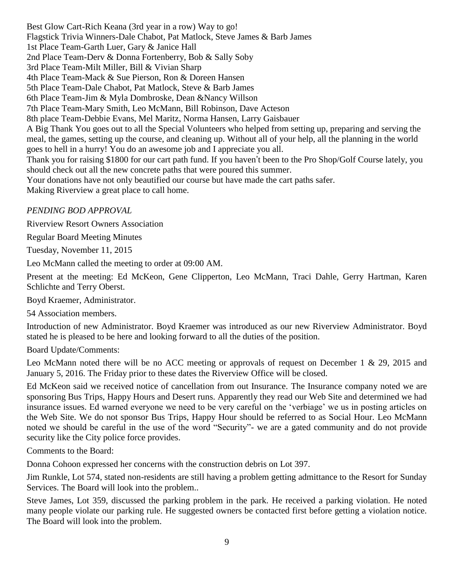Best Glow Cart-Rich Keana (3rd year in a row) Way to go! Flagstick Trivia Winners-Dale Chabot, Pat Matlock, Steve James & Barb James 1st Place Team-Garth Luer, Gary & Janice Hall 2nd Place Team-Derv & Donna Fortenberry, Bob & Sally Soby 3rd Place Team-Milt Miller, Bill & Vivian Sharp 4th Place Team-Mack & Sue Pierson, Ron & Doreen Hansen 5th Place Team-Dale Chabot, Pat Matlock, Steve & Barb James 6th Place Team-Jim & Myla Dombroske, Dean &Nancy Willson 7th Place Team-Mary Smith, Leo McMann, Bill Robinson, Dave Acteson 8th place Team-Debbie Evans, Mel Maritz, Norma Hansen, Larry Gaisbauer A Big Thank You goes out to all the Special Volunteers who helped from setting up, preparing and serving the meal, the games, setting up the course, and cleaning up. Without all of your help, all the planning in the world goes to hell in a hurry! You do an awesome job and I appreciate you all. Thank you for raising \$1800 for our cart path fund. If you haven't been to the Pro Shop/Golf Course lately, you should check out all the new concrete paths that were poured this summer. Your donations have not only beautified our course but have made the cart paths safer. Making Riverview a great place to call home.

*PENDING BOD APPROVAL*

Riverview Resort Owners Association

Regular Board Meeting Minutes

Tuesday, November 11, 2015

Leo McMann called the meeting to order at 09:00 AM.

Present at the meeting: Ed McKeon, Gene Clipperton, Leo McMann, Traci Dahle, Gerry Hartman, Karen Schlichte and Terry Oberst.

Boyd Kraemer, Administrator.

54 Association members.

Introduction of new Administrator. Boyd Kraemer was introduced as our new Riverview Administrator. Boyd stated he is pleased to be here and looking forward to all the duties of the position.

Board Update/Comments:

Leo McMann noted there will be no ACC meeting or approvals of request on December 1 & 29, 2015 and January 5, 2016. The Friday prior to these dates the Riverview Office will be closed.

Ed McKeon said we received notice of cancellation from out Insurance. The Insurance company noted we are sponsoring Bus Trips, Happy Hours and Desert runs. Apparently they read our Web Site and determined we had insurance issues. Ed warned everyone we need to be very careful on the 'verbiage' we us in posting articles on the Web Site. We do not sponsor Bus Trips, Happy Hour should be referred to as Social Hour. Leo McMann noted we should be careful in the use of the word "Security"- we are a gated community and do not provide security like the City police force provides.

Comments to the Board:

Donna Cohoon expressed her concerns with the construction debris on Lot 397.

Jim Runkle, Lot 574, stated non-residents are still having a problem getting admittance to the Resort for Sunday Services. The Board will look into the problem..

Steve James, Lot 359, discussed the parking problem in the park. He received a parking violation. He noted many people violate our parking rule. He suggested owners be contacted first before getting a violation notice. The Board will look into the problem.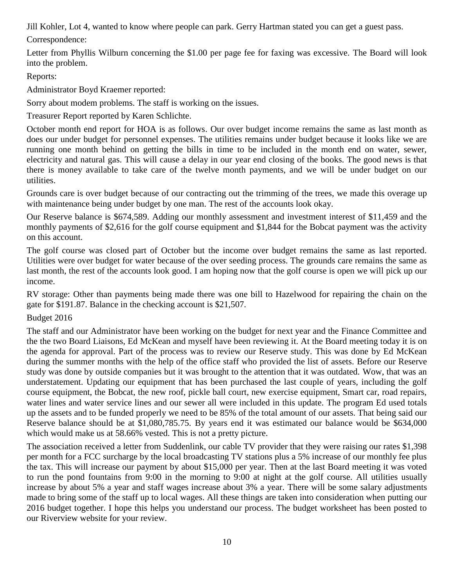Jill Kohler, Lot 4, wanted to know where people can park. Gerry Hartman stated you can get a guest pass.

Correspondence:

Letter from Phyllis Wilburn concerning the \$1.00 per page fee for faxing was excessive. The Board will look into the problem.

Reports:

Administrator Boyd Kraemer reported:

Sorry about modem problems. The staff is working on the issues.

Treasurer Report reported by Karen Schlichte.

October month end report for HOA is as follows. Our over budget income remains the same as last month as does our under budget for personnel expenses. The utilities remains under budget because it looks like we are running one month behind on getting the bills in time to be included in the month end on water, sewer, electricity and natural gas. This will cause a delay in our year end closing of the books. The good news is that there is money available to take care of the twelve month payments, and we will be under budget on our utilities.

Grounds care is over budget because of our contracting out the trimming of the trees, we made this overage up with maintenance being under budget by one man. The rest of the accounts look okay.

Our Reserve balance is \$674,589. Adding our monthly assessment and investment interest of \$11,459 and the monthly payments of \$2,616 for the golf course equipment and \$1,844 for the Bobcat payment was the activity on this account.

The golf course was closed part of October but the income over budget remains the same as last reported. Utilities were over budget for water because of the over seeding process. The grounds care remains the same as last month, the rest of the accounts look good. I am hoping now that the golf course is open we will pick up our income.

RV storage: Other than payments being made there was one bill to Hazelwood for repairing the chain on the gate for \$191.87. Balance in the checking account is \$21,507.

Budget 2016

The staff and our Administrator have been working on the budget for next year and the Finance Committee and the the two Board Liaisons, Ed McKean and myself have been reviewing it. At the Board meeting today it is on the agenda for approval. Part of the process was to review our Reserve study. This was done by Ed McKean during the summer months with the help of the office staff who provided the list of assets. Before our Reserve study was done by outside companies but it was brought to the attention that it was outdated. Wow, that was an understatement. Updating our equipment that has been purchased the last couple of years, including the golf course equipment, the Bobcat, the new roof, pickle ball court, new exercise equipment, Smart car, road repairs, water lines and water service lines and our sewer all were included in this update. The program Ed used totals up the assets and to be funded properly we need to be 85% of the total amount of our assets. That being said our Reserve balance should be at \$1,080,785.75. By years end it was estimated our balance would be \$634,000 which would make us at 58.66% vested. This is not a pretty picture.

The association received a letter from Suddenlink, our cable TV provider that they were raising our rates \$1,398 per month for a FCC surcharge by the local broadcasting TV stations plus a 5% increase of our monthly fee plus the tax. This will increase our payment by about \$15,000 per year. Then at the last Board meeting it was voted to run the pond fountains from 9:00 in the morning to 9:00 at night at the golf course. All utilities usually increase by about 5% a year and staff wages increase about 3% a year. There will be some salary adjustments made to bring some of the staff up to local wages. All these things are taken into consideration when putting our 2016 budget together. I hope this helps you understand our process. The budget worksheet has been posted to our Riverview website for your review.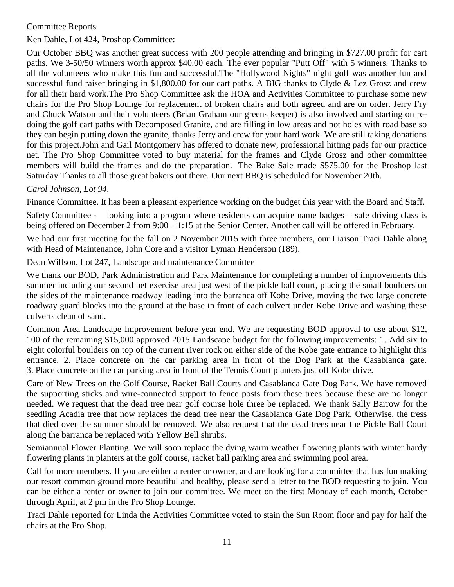#### Committee Reports

Ken Dahle, Lot 424, Proshop Committee:

Our October BBQ was another great success with 200 people attending and bringing in \$727.00 profit for cart paths. We 3-50/50 winners worth approx \$40.00 each. The ever popular "Putt Off" with 5 winners. Thanks to all the volunteers who make this fun and successful.The "Hollywood Nights" night golf was another fun and successful fund raiser bringing in \$1,800.00 for our cart paths. A BIG thanks to Clyde & Lez Grosz and crew for all their hard work.The Pro Shop Committee ask the HOA and Activities Committee to purchase some new chairs for the Pro Shop Lounge for replacement of broken chairs and both agreed and are on order. Jerry Fry and Chuck Watson and their volunteers (Brian Graham our greens keeper) is also involved and starting on redoing the golf cart paths with Decomposed Granite, and are filling in low areas and pot holes with road base so they can begin putting down the granite, thanks Jerry and crew for your hard work. We are still taking donations for this project.John and Gail Montgomery has offered to donate new, professional hitting pads for our practice net. The Pro Shop Committee voted to buy material for the frames and Clyde Grosz and other committee members will build the frames and do the preparation. The Bake Sale made \$575.00 for the Proshop last Saturday Thanks to all those great bakers out there. Our next BBQ is scheduled for November 20th.

#### *Carol Johnson, Lot 94,*

Finance Committee. It has been a pleasant experience working on the budget this year with the Board and Staff.

Safety Committee - looking into a program where residents can acquire name badges – safe driving class is being offered on December 2 from 9:00 – 1:15 at the Senior Center. Another call will be offered in February.

We had our first meeting for the fall on 2 November 2015 with three members, our Liaison Traci Dahle along with Head of Maintenance, John Core and a visitor Lyman Henderson (189).

Dean Willson, Lot 247, Landscape and maintenance Committee

We thank our BOD, Park Administration and Park Maintenance for completing a number of improvements this summer including our second pet exercise area just west of the pickle ball court, placing the small boulders on the sides of the maintenance roadway leading into the barranca off Kobe Drive, moving the two large concrete roadway guard blocks into the ground at the base in front of each culvert under Kobe Drive and washing these culverts clean of sand.

Common Area Landscape Improvement before year end. We are requesting BOD approval to use about \$12, 100 of the remaining \$15,000 approved 2015 Landscape budget for the following improvements: 1. Add six to eight colorful boulders on top of the current river rock on either side of the Kobe gate entrance to highlight this entrance. 2. Place concrete on the car parking area in front of the Dog Park at the Casablanca gate. 3. Place concrete on the car parking area in front of the Tennis Court planters just off Kobe drive.

Care of New Trees on the Golf Course, Racket Ball Courts and Casablanca Gate Dog Park. We have removed the supporting sticks and wire-connected support to fence posts from these trees because these are no longer needed. We request that the dead tree near golf course hole three be replaced. We thank Sally Barrow for the seedling Acadia tree that now replaces the dead tree near the Casablanca Gate Dog Park. Otherwise, the tress that died over the summer should be removed. We also request that the dead trees near the Pickle Ball Court along the barranca be replaced with Yellow Bell shrubs.

Semiannual Flower Planting. We will soon replace the dying warm weather flowering plants with winter hardy flowering plants in planters at the golf course, racket ball parking area and swimming pool area.

Call for more members. If you are either a renter or owner, and are looking for a committee that has fun making our resort common ground more beautiful and healthy, please send a letter to the BOD requesting to join. You can be either a renter or owner to join our committee. We meet on the first Monday of each month, October through April, at 2 pm in the Pro Shop Lounge.

Traci Dahle reported for Linda the Activities Committee voted to stain the Sun Room floor and pay for half the chairs at the Pro Shop.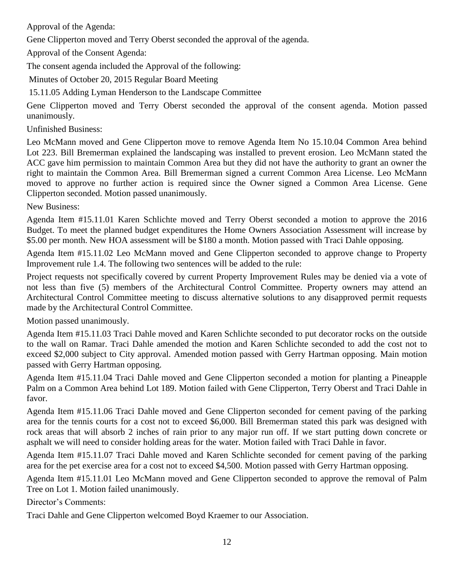Approval of the Agenda:

Gene Clipperton moved and Terry Oberst seconded the approval of the agenda.

Approval of the Consent Agenda:

The consent agenda included the Approval of the following:

Minutes of October 20, 2015 Regular Board Meeting

15.11.05 Adding Lyman Henderson to the Landscape Committee

Gene Clipperton moved and Terry Oberst seconded the approval of the consent agenda. Motion passed unanimously.

Unfinished Business:

Leo McMann moved and Gene Clipperton move to remove Agenda Item No 15.10.04 Common Area behind Lot 223. Bill Bremerman explained the landscaping was installed to prevent erosion. Leo McMann stated the ACC gave him permission to maintain Common Area but they did not have the authority to grant an owner the right to maintain the Common Area. Bill Bremerman signed a current Common Area License. Leo McMann moved to approve no further action is required since the Owner signed a Common Area License. Gene Clipperton seconded. Motion passed unanimously.

New Business:

Agenda Item #15.11.01 Karen Schlichte moved and Terry Oberst seconded a motion to approve the 2016 Budget. To meet the planned budget expenditures the Home Owners Association Assessment will increase by \$5.00 per month. New HOA assessment will be \$180 a month. Motion passed with Traci Dahle opposing.

Agenda Item #15.11.02 Leo McMann moved and Gene Clipperton seconded to approve change to Property Improvement rule 1.4. The following two sentences will be added to the rule:

Project requests not specifically covered by current Property Improvement Rules may be denied via a vote of not less than five (5) members of the Architectural Control Committee. Property owners may attend an Architectural Control Committee meeting to discuss alternative solutions to any disapproved permit requests made by the Architectural Control Committee.

Motion passed unanimously.

Agenda Item #15.11.03 Traci Dahle moved and Karen Schlichte seconded to put decorator rocks on the outside to the wall on Ramar. Traci Dahle amended the motion and Karen Schlichte seconded to add the cost not to exceed \$2,000 subject to City approval. Amended motion passed with Gerry Hartman opposing. Main motion passed with Gerry Hartman opposing.

Agenda Item #15.11.04 Traci Dahle moved and Gene Clipperton seconded a motion for planting a Pineapple Palm on a Common Area behind Lot 189. Motion failed with Gene Clipperton, Terry Oberst and Traci Dahle in favor.

Agenda Item #15.11.06 Traci Dahle moved and Gene Clipperton seconded for cement paving of the parking area for the tennis courts for a cost not to exceed \$6,000. Bill Bremerman stated this park was designed with rock areas that will absorb 2 inches of rain prior to any major run off. If we start putting down concrete or asphalt we will need to consider holding areas for the water. Motion failed with Traci Dahle in favor.

Agenda Item #15.11.07 Traci Dahle moved and Karen Schlichte seconded for cement paving of the parking area for the pet exercise area for a cost not to exceed \$4,500. Motion passed with Gerry Hartman opposing.

Agenda Item #15.11.01 Leo McMann moved and Gene Clipperton seconded to approve the removal of Palm Tree on Lot 1. Motion failed unanimously.

Director's Comments:

Traci Dahle and Gene Clipperton welcomed Boyd Kraemer to our Association.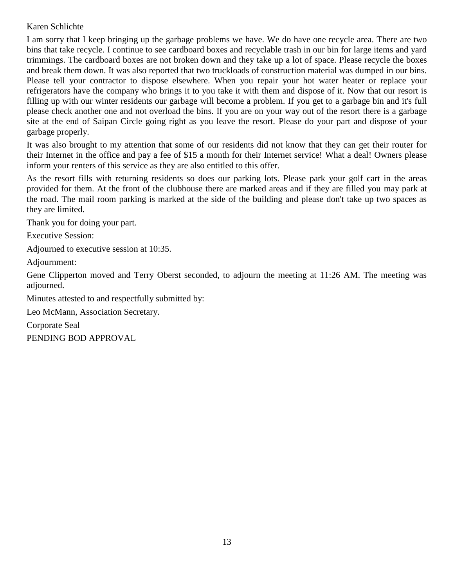#### Karen Schlichte

I am sorry that I keep bringing up the garbage problems we have. We do have one recycle area. There are two bins that take recycle. I continue to see cardboard boxes and recyclable trash in our bin for large items and yard trimmings. The cardboard boxes are not broken down and they take up a lot of space. Please recycle the boxes and break them down. It was also reported that two truckloads of construction material was dumped in our bins. Please tell your contractor to dispose elsewhere. When you repair your hot water heater or replace your refrigerators have the company who brings it to you take it with them and dispose of it. Now that our resort is filling up with our winter residents our garbage will become a problem. If you get to a garbage bin and it's full please check another one and not overload the bins. If you are on your way out of the resort there is a garbage site at the end of Saipan Circle going right as you leave the resort. Please do your part and dispose of your garbage properly.

It was also brought to my attention that some of our residents did not know that they can get their router for their Internet in the office and pay a fee of \$15 a month for their Internet service! What a deal! Owners please inform your renters of this service as they are also entitled to this offer.

As the resort fills with returning residents so does our parking lots. Please park your golf cart in the areas provided for them. At the front of the clubhouse there are marked areas and if they are filled you may park at the road. The mail room parking is marked at the side of the building and please don't take up two spaces as they are limited.

Thank you for doing your part.

Executive Session:

Adjourned to executive session at 10:35.

Adjournment:

Gene Clipperton moved and Terry Oberst seconded, to adjourn the meeting at 11:26 AM. The meeting was adjourned.

Minutes attested to and respectfully submitted by:

Leo McMann, Association Secretary.

Corporate Seal

PENDING BOD APPROVAL